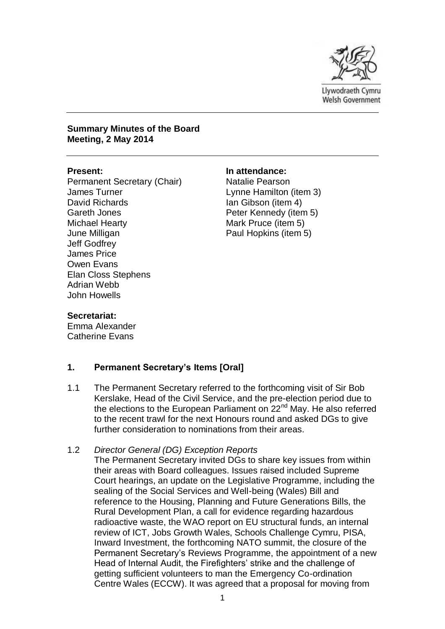

**Summary Minutes of the Board Meeting, 2 May 2014** 

Permanent Secretary (Chair) James Turner David Richards Gareth Jones Michael Hearty June Milligan Jeff Godfrey James Price Owen Evans Elan Closs Stephens Adrian Webb John Howells

#### **Present: In attendance:**

Natalie Pearson Lynne Hamilton (item 3) Ian Gibson (item 4) Peter Kennedy (item 5) Mark Pruce (item 5) Paul Hopkins (item 5)

#### **Secretariat:**

Emma Alexander Catherine Evans

#### **1. Permanent Secretary's Items [Oral]**

1.1 The Permanent Secretary referred to the forthcoming visit of Sir Bob Kerslake, Head of the Civil Service, and the pre-election period due to the elections to the European Parliament on 22<sup>nd</sup> May. He also referred to the recent trawl for the next Honours round and asked DGs to give further consideration to nominations from their areas.

#### 1.2 *Director General (DG) Exception Reports*

The Permanent Secretary invited DGs to share key issues from within their areas with Board colleagues. Issues raised included Supreme Court hearings, an update on the Legislative Programme, including the sealing of the Social Services and Well-being (Wales) Bill and reference to the Housing, Planning and Future Generations Bills, the Rural Development Plan, a call for evidence regarding hazardous radioactive waste, the WAO report on EU structural funds, an internal review of ICT, Jobs Growth Wales, Schools Challenge Cymru, PISA, Inward Investment, the forthcoming NATO summit, the closure of the Permanent Secretary's Reviews Programme, the appointment of a new Head of Internal Audit, the Firefighters' strike and the challenge of getting sufficient volunteers to man the Emergency Co-ordination Centre Wales (ECCW). It was agreed that a proposal for moving from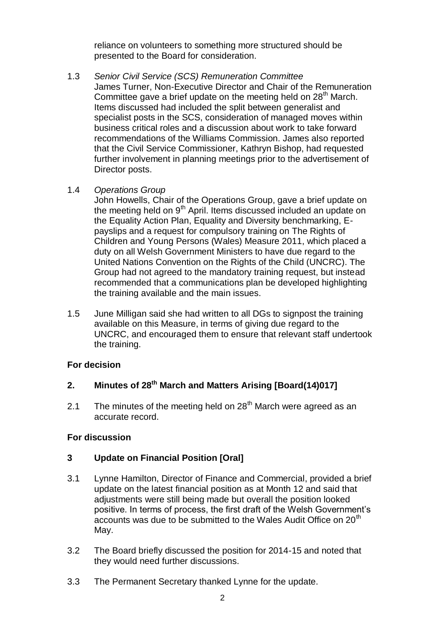reliance on volunteers to something more structured should be presented to the Board for consideration.

1.3 *Senior Civil Service (SCS) Remuneration Committee* James Turner, Non-Executive Director and Chair of the Remuneration Committee gave a brief update on the meeting held on 28<sup>th</sup> March. Items discussed had included the split between generalist and specialist posts in the SCS, consideration of managed moves within business critical roles and a discussion about work to take forward recommendations of the Williams Commission. James also reported that the Civil Service Commissioner, Kathryn Bishop, had requested further involvement in planning meetings prior to the advertisement of Director posts.

### 1.4 *Operations Group*

John Howells, Chair of the Operations Group, gave a brief update on the meeting held on 9<sup>th</sup> April. Items discussed included an update on the Equality Action Plan, Equality and Diversity benchmarking, Epayslips and a request for compulsory training on The Rights of Children and Young Persons (Wales) Measure 2011, which placed a duty on all Welsh Government Ministers to have due regard to the United Nations Convention on the Rights of the Child (UNCRC). The Group had not agreed to the mandatory training request, but instead recommended that a communications plan be developed highlighting the training available and the main issues.

1.5 June Milligan said she had written to all DGs to signpost the training available on this Measure, in terms of giving due regard to the UNCRC, and encouraged them to ensure that relevant staff undertook the training.

## **For decision**

## **2. Minutes of 28th March and Matters Arising [Board(14)017]**

2.1 The minutes of the meeting held on  $28<sup>th</sup>$  March were agreed as an accurate record.

## **For discussion**

## **3 Update on Financial Position [Oral]**

- 3.1 Lynne Hamilton, Director of Finance and Commercial, provided a brief update on the latest financial position as at Month 12 and said that adjustments were still being made but overall the position looked positive. In terms of process, the first draft of the Welsh Government's accounts was due to be submitted to the Wales Audit Office on 20<sup>th</sup> May.
- 3.2 The Board briefly discussed the position for 2014-15 and noted that they would need further discussions.
- 3.3 The Permanent Secretary thanked Lynne for the update.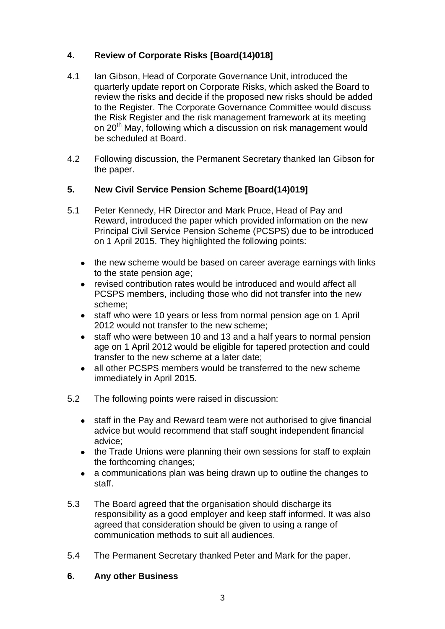## **4. Review of Corporate Risks [Board(14)018]**

- 4.1 Ian Gibson, Head of Corporate Governance Unit, introduced the quarterly update report on Corporate Risks, which asked the Board to review the risks and decide if the proposed new risks should be added to the Register. The Corporate Governance Committee would discuss the Risk Register and the risk management framework at its meeting on 20<sup>th</sup> May, following which a discussion on risk management would be scheduled at Board.
- 4.2 Following discussion, the Permanent Secretary thanked Ian Gibson for the paper.

## **5. New Civil Service Pension Scheme [Board(14)019]**

- 5.1 Peter Kennedy, HR Director and Mark Pruce, Head of Pay and Reward, introduced the paper which provided information on the new Principal Civil Service Pension Scheme (PCSPS) due to be introduced on 1 April 2015. They highlighted the following points:
	- the new scheme would be based on career average earnings with links to the state pension age;
	- revised contribution rates would be introduced and would affect all  $\bullet$ PCSPS members, including those who did not transfer into the new scheme;
	- staff who were 10 years or less from normal pension age on 1 April  $\bullet$ 2012 would not transfer to the new scheme;
	- staff who were between 10 and 13 and a half years to normal pension  $\bullet$ age on 1 April 2012 would be eligible for tapered protection and could transfer to the new scheme at a later date;
	- all other PCSPS members would be transferred to the new scheme  $\bullet$ immediately in April 2015.
- 5.2 The following points were raised in discussion:
	- staff in the Pay and Reward team were not authorised to give financial  $\bullet$ advice but would recommend that staff sought independent financial advice;
	- the Trade Unions were planning their own sessions for staff to explain the forthcoming changes;
	- a communications plan was being drawn up to outline the changes to  $\bullet$ staff.
- 5.3 The Board agreed that the organisation should discharge its responsibility as a good employer and keep staff informed. It was also agreed that consideration should be given to using a range of communication methods to suit all audiences.
- 5.4 The Permanent Secretary thanked Peter and Mark for the paper.

### **6. Any other Business**